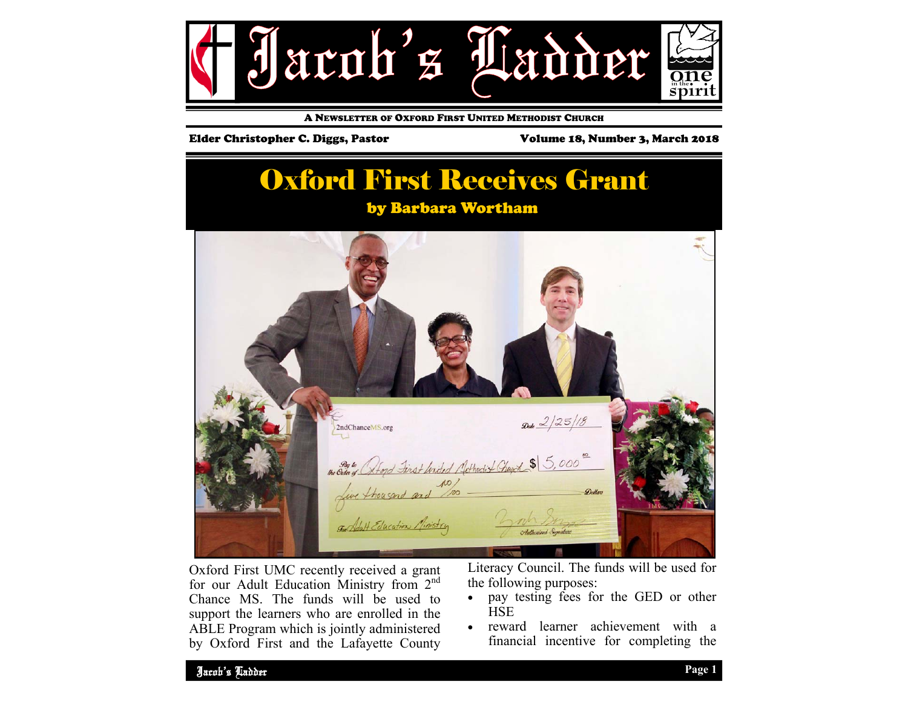

A NEWSLETTER OF OXFORD FIRST UNITED METHODIST CHURCH

#### Elder Christopher C. Diggs, Pastor Volume 18, Number 3, March 2018

## Oxford First Receives Grant

### by Barbara Wortham



Oxford First UMC recently received a grant for our Adult Education Ministry from 2<sup>nd</sup> Chance MS. The funds will be used to support the learners who are enrolled in the ABLE Program which is jointly administered by Oxford First and the Lafayette County Literacy Council. The funds will be used for the following purposes:

- $\bullet$  pay testing fees for the GED or other **HSE**
- $\bullet$  reward learner achievement with a financial incentive for completing the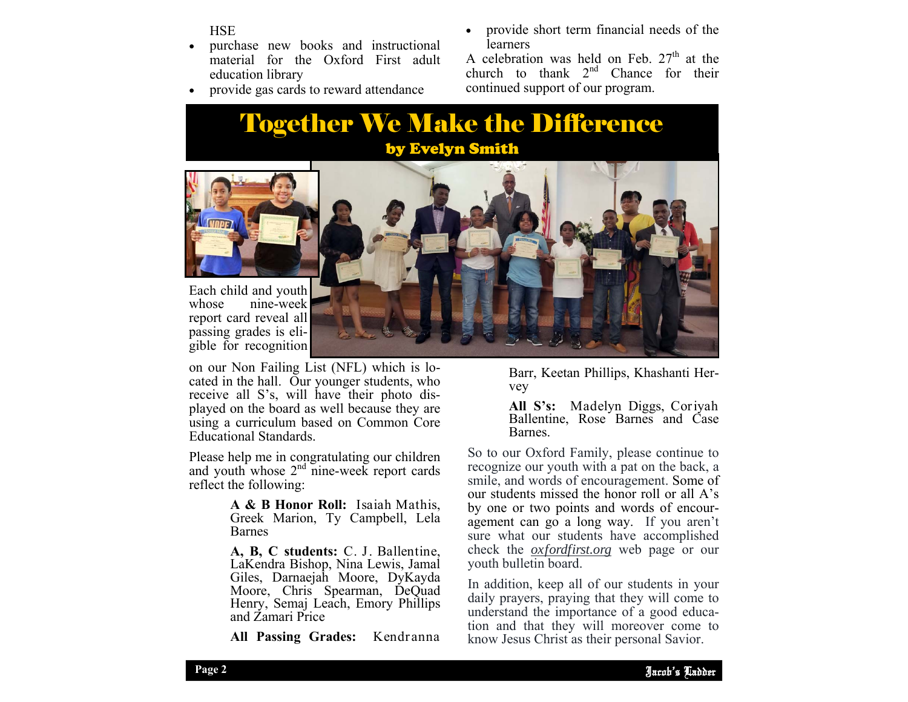**HSE** 

- $\bullet$  purchase new books and instructional material for the Oxford First adult education library
- $\bullet$ provide gas cards to reward attendance
- $\bullet$  provide short term financial needs of the learners

A celebration was held on Feb.  $27<sup>th</sup>$  at the church to thank  $2^{nd}$  Chance for their continued support of our program.

## Together We Make the Difference by Evelyn Smith



Each child and youth whose nine-week report card reveal all passing grades is eligible for recognition

on our Non Failing List (NFL) which is located in the hall. Our younger students, who receive all S's, will have their photo displayed on the board as well because they are using a curriculum based on Common Core Educational Standards.

Please help me in congratulating our children and youth whose  $2<sup>nd</sup>$  nine-week report cards reflect the following:

> **A & B Honor Roll:** Isaiah Mathis, Greek Marion, Ty Campbell, Lela Barnes

> **A, B, C students:** C. J. Ballentine, LaKendra Bishop, Nina Lewis, Jamal Giles, Darnaejah Moore, DyKayda Moore, Chris Spearman, DeQuad Henry, Semaj Leach, Emory Phillips and Zamari Price

**All Passing Grades:** Kendranna



Barr, Keetan Phillips, Khashanti Hervey

**All S's:** Madelyn Diggs, Coriyah Ballentine, Rose Barnes and Case Barnes.

So to our Oxford Family, please continue to recognize our youth with a pat on the back, a smile, and words of encouragement. Some of our students missed the honor roll or all A's by one or two points and words of encouragement can go a long way. If you aren't sure what our students have accomplished check the *oxfordfirst.org* web page or our youth bulletin board.

adily prayers, praying that they win come to<br>understand the importance of a good educa-In addition, keep all of our students in your daily prayers, praying that they will come to tion and that they will moreover come to know Jesus Christ as their personal Savior.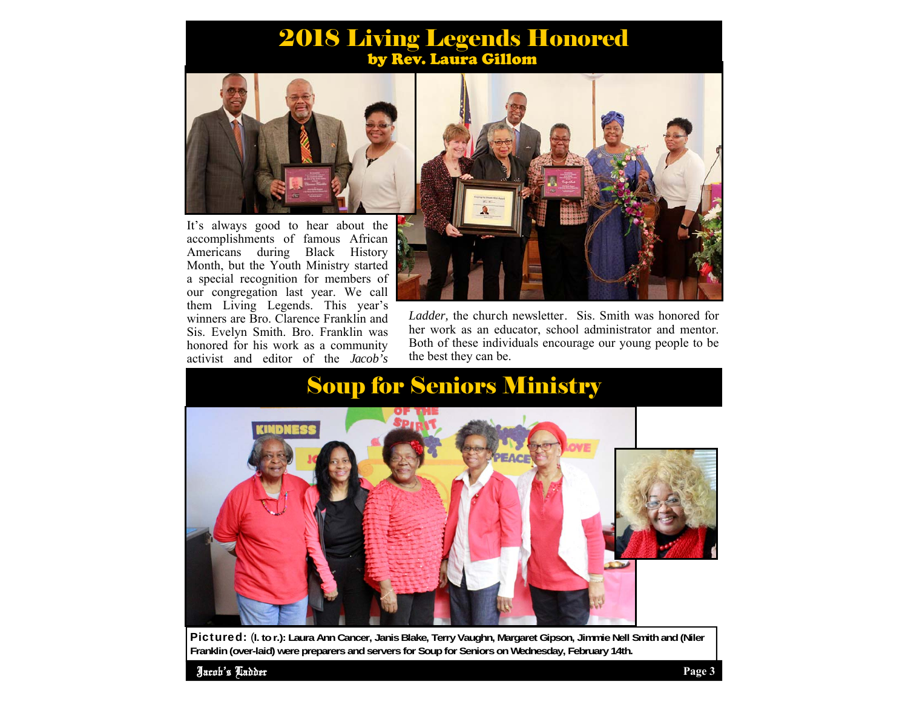### 2018 Living Legends Honored by Rev. Laura Gillom



It's always good to hear about the accomplishments of famous African Americans during Black History Month, but the Youth Ministry started a special recognition for members of our congregation last year. We call them Living Legends. This year's winners are Bro. Clarence Franklin and Sis. Evelyn Smith. Bro. Franklin was honored for his work as a community activist and editor of the *Jacob's* 



*Ladder,* the church newsletter. Sis. Smith was honored for her work as an educator, school administrator and mentor. Both of these individuals encourage our young people to be the best they can be.

## Soup for Seniors Ministry



Pictured: (**l. to r.): Laura Ann Cancer, Janis Blake, Terry Vaughn, Margaret Gipson, Jimmie Nell Smith and (Niler Franklin (over-laid) were preparers and servers for Soup for Seniors on Wednesday, February 14th.** 

Jacob's Ladder **Page 3**